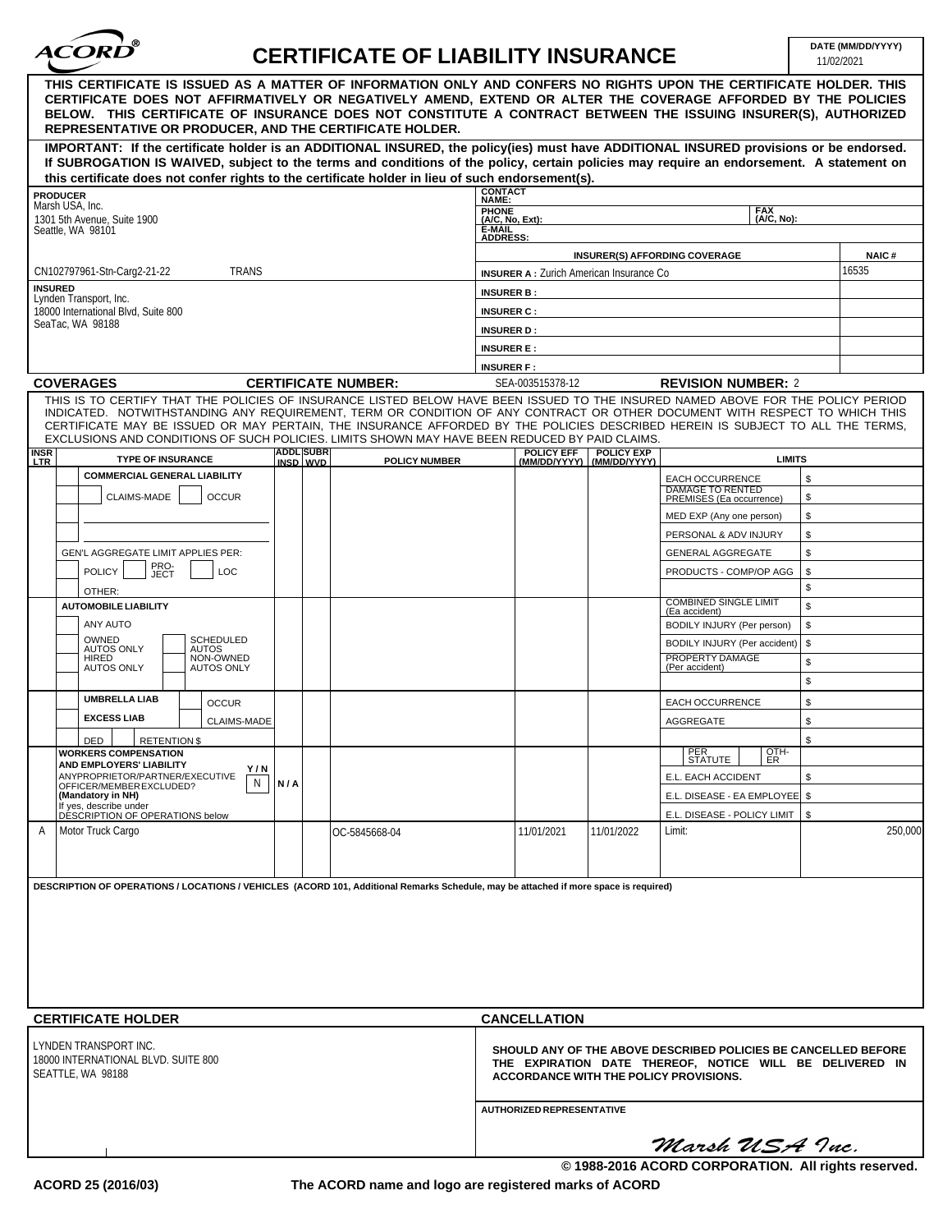| ൹<br>ACORD |  |
|------------|--|
|            |  |

## **CERTIFICATE OF LIABILITY INSURANCE**

| REPRESENTATIVE OR PRODUCER, AND THE CERTIFICATE HOLDER.<br>IMPORTANT: If the certificate holder is an ADDITIONAL INSURED, the policy(ies) must have ADDITIONAL INSURED provisions or be endorsed.<br>If SUBROGATION IS WAIVED, subject to the terms and conditions of the policy, certain policies may require an endorsement. A statement on<br>this certificate does not confer rights to the certificate holder in lieu of such endorsement(s).<br><b>CONTACT</b><br><b>PRODUCER</b><br>NAME:<br>Marsh USA, Inc.<br>PHONE<br>(A/C, No, Ext):<br><b>FAX</b><br>1301 5th Avenue, Suite 1900<br>(A/C. No):<br>È-MAIL<br>ADDRESS:<br>Seattle, WA 98101<br><b>INSURER(S) AFFORDING COVERAGE</b><br>16535<br><b>TRANS</b><br>CN102797961-Stn-Carg2-21-22<br><b>INSURER A:</b> Zurich American Insurance Co.<br><b>INSURED</b><br><b>INSURER B:</b><br>Lynden Transport, Inc.<br>18000 International Blvd, Suite 800<br><b>INSURER C:</b><br>SeaTac, WA 98188<br><b>INSURER D:</b><br><b>INSURER E:</b><br><b>INSURER F:</b><br><b>COVERAGES</b><br>SEA-003515378-12<br><b>CERTIFICATE NUMBER:</b><br><b>REVISION NUMBER: 2</b><br>THIS IS TO CERTIFY THAT THE POLICIES OF INSURANCE LISTED BELOW HAVE BEEN ISSUED TO THE INSURED NAMED ABOVE FOR THE POLICY PERIOD<br>INDICATED. NOTWITHSTANDING ANY REQUIREMENT, TERM OR CONDITION OF ANY CONTRACT OR OTHER DOCUMENT WITH RESPECT TO WHICH THIS<br>CERTIFICATE MAY BE ISSUED OR MAY PERTAIN, THE INSURANCE AFFORDED BY THE POLICIES DESCRIBED HEREIN IS SUBJECT TO ALL THE TERMS,<br>EXCLUSIONS AND CONDITIONS OF SUCH POLICIES. LIMITS SHOWN MAY HAVE BEEN REDUCED BY PAID CLAIMS.<br><b>ADDL SUBR</b><br><b>POLICY EFF</b><br><b>POLICY EXP</b><br><b>INSR</b><br><b>TYPE OF INSURANCE</b><br><b>LIMITS</b><br>LTR<br>INSD WVD<br><b>POLICY NUMBER</b><br>(MM/DD/YYYY)<br>(MM/DD/YYYY)<br><b>COMMERCIAL GENERAL LIABILITY</b><br>\$<br><b>EACH OCCURRENCE</b><br><b>DAMAGE TO RENTED</b><br>CLAIMS-MADE<br><b>OCCUR</b><br>\$<br>PREMISES (Ea occurrence)<br>\$<br>MED EXP (Any one person)<br>\$<br>PERSONAL & ADV INJURY<br>\$<br>GEN'L AGGREGATE LIMIT APPLIES PER:<br><b>GENERAL AGGREGATE</b><br>PRO-<br>JECT<br><b>POLICY</b><br>LOC<br>PRODUCTS - COMP/OP AGG<br>\$<br>\$<br>OTHER:<br>COMBINED SINGLE LIMIT<br>(Ea accident)<br>\$<br><b>AUTOMOBILE LIABILITY</b><br>ANY AUTO<br>\$<br>BODILY INJURY (Per person)<br>OWNED<br><b>SCHEDULED</b><br>\$<br>BODILY INJURY (Per accident)<br><b>AUTOS ONLY</b><br>AUTOS<br>NON-OWNED<br>PROPERTY DAMAGE<br><b>HIRED</b><br>\$<br>(Per accident)<br><b>AUTOS ONLY</b><br><b>AUTOS ONLY</b><br>\$<br><b>UMBRELLA LIAB</b><br>\$<br><b>OCCUR</b><br>EACH OCCURRENCE<br><b>EXCESS LIAB</b><br>\$<br><b>CLAIMS-MADE</b><br>AGGREGATE<br>\$<br><b>RETENTION \$</b><br>DED<br>OTH-<br>PER<br>STATUTE<br><b>WORKERS COMPENSATION</b><br>ER<br>AND EMPLOYERS' LIABILITY<br>Y/N<br>ANYPROPRIETOR/PARTNER/EXECUTIVE<br>\$<br>E.L. EACH ACCIDENT<br>N<br>N/A<br>OFFICER/MEMBER EXCLUDED?<br>(Mandatory in NH)<br>E.L. DISEASE - EA EMPLOYEE   \$<br>If yes, describe under<br>DÉSCRIPTION OF OPERATIONS below<br>E.L. DISEASE - POLICY LIMIT   \$<br>Motor Truck Cargo<br>Limit:<br>A<br>11/01/2021<br>11/01/2022<br>OC-5845668-04 |                                                                                                                                                                                                                                                                                                                                                       |  |  |  |  |  |  |
|---------------------------------------------------------------------------------------------------------------------------------------------------------------------------------------------------------------------------------------------------------------------------------------------------------------------------------------------------------------------------------------------------------------------------------------------------------------------------------------------------------------------------------------------------------------------------------------------------------------------------------------------------------------------------------------------------------------------------------------------------------------------------------------------------------------------------------------------------------------------------------------------------------------------------------------------------------------------------------------------------------------------------------------------------------------------------------------------------------------------------------------------------------------------------------------------------------------------------------------------------------------------------------------------------------------------------------------------------------------------------------------------------------------------------------------------------------------------------------------------------------------------------------------------------------------------------------------------------------------------------------------------------------------------------------------------------------------------------------------------------------------------------------------------------------------------------------------------------------------------------------------------------------------------------------------------------------------------------------------------------------------------------------------------------------------------------------------------------------------------------------------------------------------------------------------------------------------------------------------------------------------------------------------------------------------------------------------------------------------------------------------------------------------------------------------------------------------------------------------------------------------------------------------------------------------------------------------------------------------------------------------------------------------------------------------------------------------------------------------------------------------------------------------------------------------------------------------------------------------------------------------------------------------------------------------------------------------------------------------------------------------------------------------------------------------------------------------------------------------------------------------------------------------------------------------------------------------------------|-------------------------------------------------------------------------------------------------------------------------------------------------------------------------------------------------------------------------------------------------------------------------------------------------------------------------------------------------------|--|--|--|--|--|--|
|                                                                                                                                                                                                                                                                                                                                                                                                                                                                                                                                                                                                                                                                                                                                                                                                                                                                                                                                                                                                                                                                                                                                                                                                                                                                                                                                                                                                                                                                                                                                                                                                                                                                                                                                                                                                                                                                                                                                                                                                                                                                                                                                                                                                                                                                                                                                                                                                                                                                                                                                                                                                                                                                                                                                                                                                                                                                                                                                                                                                                                                                                                                                                                                                                           | THIS CERTIFICATE IS ISSUED AS A MATTER OF INFORMATION ONLY AND CONFERS NO RIGHTS UPON THE CERTIFICATE HOLDER. THIS<br>CERTIFICATE DOES NOT AFFIRMATIVELY OR NEGATIVELY AMEND, EXTEND OR ALTER THE COVERAGE AFFORDED BY THE POLICIES<br>BELOW. THIS CERTIFICATE OF INSURANCE DOES NOT CONSTITUTE A CONTRACT BETWEEN THE ISSUING INSURER(S). AUTHORIZED |  |  |  |  |  |  |
|                                                                                                                                                                                                                                                                                                                                                                                                                                                                                                                                                                                                                                                                                                                                                                                                                                                                                                                                                                                                                                                                                                                                                                                                                                                                                                                                                                                                                                                                                                                                                                                                                                                                                                                                                                                                                                                                                                                                                                                                                                                                                                                                                                                                                                                                                                                                                                                                                                                                                                                                                                                                                                                                                                                                                                                                                                                                                                                                                                                                                                                                                                                                                                                                                           |                                                                                                                                                                                                                                                                                                                                                       |  |  |  |  |  |  |
|                                                                                                                                                                                                                                                                                                                                                                                                                                                                                                                                                                                                                                                                                                                                                                                                                                                                                                                                                                                                                                                                                                                                                                                                                                                                                                                                                                                                                                                                                                                                                                                                                                                                                                                                                                                                                                                                                                                                                                                                                                                                                                                                                                                                                                                                                                                                                                                                                                                                                                                                                                                                                                                                                                                                                                                                                                                                                                                                                                                                                                                                                                                                                                                                                           |                                                                                                                                                                                                                                                                                                                                                       |  |  |  |  |  |  |
|                                                                                                                                                                                                                                                                                                                                                                                                                                                                                                                                                                                                                                                                                                                                                                                                                                                                                                                                                                                                                                                                                                                                                                                                                                                                                                                                                                                                                                                                                                                                                                                                                                                                                                                                                                                                                                                                                                                                                                                                                                                                                                                                                                                                                                                                                                                                                                                                                                                                                                                                                                                                                                                                                                                                                                                                                                                                                                                                                                                                                                                                                                                                                                                                                           |                                                                                                                                                                                                                                                                                                                                                       |  |  |  |  |  |  |
|                                                                                                                                                                                                                                                                                                                                                                                                                                                                                                                                                                                                                                                                                                                                                                                                                                                                                                                                                                                                                                                                                                                                                                                                                                                                                                                                                                                                                                                                                                                                                                                                                                                                                                                                                                                                                                                                                                                                                                                                                                                                                                                                                                                                                                                                                                                                                                                                                                                                                                                                                                                                                                                                                                                                                                                                                                                                                                                                                                                                                                                                                                                                                                                                                           |                                                                                                                                                                                                                                                                                                                                                       |  |  |  |  |  |  |
|                                                                                                                                                                                                                                                                                                                                                                                                                                                                                                                                                                                                                                                                                                                                                                                                                                                                                                                                                                                                                                                                                                                                                                                                                                                                                                                                                                                                                                                                                                                                                                                                                                                                                                                                                                                                                                                                                                                                                                                                                                                                                                                                                                                                                                                                                                                                                                                                                                                                                                                                                                                                                                                                                                                                                                                                                                                                                                                                                                                                                                                                                                                                                                                                                           | <b>NAIC#</b>                                                                                                                                                                                                                                                                                                                                          |  |  |  |  |  |  |
|                                                                                                                                                                                                                                                                                                                                                                                                                                                                                                                                                                                                                                                                                                                                                                                                                                                                                                                                                                                                                                                                                                                                                                                                                                                                                                                                                                                                                                                                                                                                                                                                                                                                                                                                                                                                                                                                                                                                                                                                                                                                                                                                                                                                                                                                                                                                                                                                                                                                                                                                                                                                                                                                                                                                                                                                                                                                                                                                                                                                                                                                                                                                                                                                                           |                                                                                                                                                                                                                                                                                                                                                       |  |  |  |  |  |  |
|                                                                                                                                                                                                                                                                                                                                                                                                                                                                                                                                                                                                                                                                                                                                                                                                                                                                                                                                                                                                                                                                                                                                                                                                                                                                                                                                                                                                                                                                                                                                                                                                                                                                                                                                                                                                                                                                                                                                                                                                                                                                                                                                                                                                                                                                                                                                                                                                                                                                                                                                                                                                                                                                                                                                                                                                                                                                                                                                                                                                                                                                                                                                                                                                                           |                                                                                                                                                                                                                                                                                                                                                       |  |  |  |  |  |  |
|                                                                                                                                                                                                                                                                                                                                                                                                                                                                                                                                                                                                                                                                                                                                                                                                                                                                                                                                                                                                                                                                                                                                                                                                                                                                                                                                                                                                                                                                                                                                                                                                                                                                                                                                                                                                                                                                                                                                                                                                                                                                                                                                                                                                                                                                                                                                                                                                                                                                                                                                                                                                                                                                                                                                                                                                                                                                                                                                                                                                                                                                                                                                                                                                                           |                                                                                                                                                                                                                                                                                                                                                       |  |  |  |  |  |  |
|                                                                                                                                                                                                                                                                                                                                                                                                                                                                                                                                                                                                                                                                                                                                                                                                                                                                                                                                                                                                                                                                                                                                                                                                                                                                                                                                                                                                                                                                                                                                                                                                                                                                                                                                                                                                                                                                                                                                                                                                                                                                                                                                                                                                                                                                                                                                                                                                                                                                                                                                                                                                                                                                                                                                                                                                                                                                                                                                                                                                                                                                                                                                                                                                                           |                                                                                                                                                                                                                                                                                                                                                       |  |  |  |  |  |  |
|                                                                                                                                                                                                                                                                                                                                                                                                                                                                                                                                                                                                                                                                                                                                                                                                                                                                                                                                                                                                                                                                                                                                                                                                                                                                                                                                                                                                                                                                                                                                                                                                                                                                                                                                                                                                                                                                                                                                                                                                                                                                                                                                                                                                                                                                                                                                                                                                                                                                                                                                                                                                                                                                                                                                                                                                                                                                                                                                                                                                                                                                                                                                                                                                                           |                                                                                                                                                                                                                                                                                                                                                       |  |  |  |  |  |  |
|                                                                                                                                                                                                                                                                                                                                                                                                                                                                                                                                                                                                                                                                                                                                                                                                                                                                                                                                                                                                                                                                                                                                                                                                                                                                                                                                                                                                                                                                                                                                                                                                                                                                                                                                                                                                                                                                                                                                                                                                                                                                                                                                                                                                                                                                                                                                                                                                                                                                                                                                                                                                                                                                                                                                                                                                                                                                                                                                                                                                                                                                                                                                                                                                                           |                                                                                                                                                                                                                                                                                                                                                       |  |  |  |  |  |  |
|                                                                                                                                                                                                                                                                                                                                                                                                                                                                                                                                                                                                                                                                                                                                                                                                                                                                                                                                                                                                                                                                                                                                                                                                                                                                                                                                                                                                                                                                                                                                                                                                                                                                                                                                                                                                                                                                                                                                                                                                                                                                                                                                                                                                                                                                                                                                                                                                                                                                                                                                                                                                                                                                                                                                                                                                                                                                                                                                                                                                                                                                                                                                                                                                                           |                                                                                                                                                                                                                                                                                                                                                       |  |  |  |  |  |  |
|                                                                                                                                                                                                                                                                                                                                                                                                                                                                                                                                                                                                                                                                                                                                                                                                                                                                                                                                                                                                                                                                                                                                                                                                                                                                                                                                                                                                                                                                                                                                                                                                                                                                                                                                                                                                                                                                                                                                                                                                                                                                                                                                                                                                                                                                                                                                                                                                                                                                                                                                                                                                                                                                                                                                                                                                                                                                                                                                                                                                                                                                                                                                                                                                                           |                                                                                                                                                                                                                                                                                                                                                       |  |  |  |  |  |  |
|                                                                                                                                                                                                                                                                                                                                                                                                                                                                                                                                                                                                                                                                                                                                                                                                                                                                                                                                                                                                                                                                                                                                                                                                                                                                                                                                                                                                                                                                                                                                                                                                                                                                                                                                                                                                                                                                                                                                                                                                                                                                                                                                                                                                                                                                                                                                                                                                                                                                                                                                                                                                                                                                                                                                                                                                                                                                                                                                                                                                                                                                                                                                                                                                                           |                                                                                                                                                                                                                                                                                                                                                       |  |  |  |  |  |  |
|                                                                                                                                                                                                                                                                                                                                                                                                                                                                                                                                                                                                                                                                                                                                                                                                                                                                                                                                                                                                                                                                                                                                                                                                                                                                                                                                                                                                                                                                                                                                                                                                                                                                                                                                                                                                                                                                                                                                                                                                                                                                                                                                                                                                                                                                                                                                                                                                                                                                                                                                                                                                                                                                                                                                                                                                                                                                                                                                                                                                                                                                                                                                                                                                                           |                                                                                                                                                                                                                                                                                                                                                       |  |  |  |  |  |  |
|                                                                                                                                                                                                                                                                                                                                                                                                                                                                                                                                                                                                                                                                                                                                                                                                                                                                                                                                                                                                                                                                                                                                                                                                                                                                                                                                                                                                                                                                                                                                                                                                                                                                                                                                                                                                                                                                                                                                                                                                                                                                                                                                                                                                                                                                                                                                                                                                                                                                                                                                                                                                                                                                                                                                                                                                                                                                                                                                                                                                                                                                                                                                                                                                                           |                                                                                                                                                                                                                                                                                                                                                       |  |  |  |  |  |  |
|                                                                                                                                                                                                                                                                                                                                                                                                                                                                                                                                                                                                                                                                                                                                                                                                                                                                                                                                                                                                                                                                                                                                                                                                                                                                                                                                                                                                                                                                                                                                                                                                                                                                                                                                                                                                                                                                                                                                                                                                                                                                                                                                                                                                                                                                                                                                                                                                                                                                                                                                                                                                                                                                                                                                                                                                                                                                                                                                                                                                                                                                                                                                                                                                                           |                                                                                                                                                                                                                                                                                                                                                       |  |  |  |  |  |  |
|                                                                                                                                                                                                                                                                                                                                                                                                                                                                                                                                                                                                                                                                                                                                                                                                                                                                                                                                                                                                                                                                                                                                                                                                                                                                                                                                                                                                                                                                                                                                                                                                                                                                                                                                                                                                                                                                                                                                                                                                                                                                                                                                                                                                                                                                                                                                                                                                                                                                                                                                                                                                                                                                                                                                                                                                                                                                                                                                                                                                                                                                                                                                                                                                                           |                                                                                                                                                                                                                                                                                                                                                       |  |  |  |  |  |  |
|                                                                                                                                                                                                                                                                                                                                                                                                                                                                                                                                                                                                                                                                                                                                                                                                                                                                                                                                                                                                                                                                                                                                                                                                                                                                                                                                                                                                                                                                                                                                                                                                                                                                                                                                                                                                                                                                                                                                                                                                                                                                                                                                                                                                                                                                                                                                                                                                                                                                                                                                                                                                                                                                                                                                                                                                                                                                                                                                                                                                                                                                                                                                                                                                                           |                                                                                                                                                                                                                                                                                                                                                       |  |  |  |  |  |  |
|                                                                                                                                                                                                                                                                                                                                                                                                                                                                                                                                                                                                                                                                                                                                                                                                                                                                                                                                                                                                                                                                                                                                                                                                                                                                                                                                                                                                                                                                                                                                                                                                                                                                                                                                                                                                                                                                                                                                                                                                                                                                                                                                                                                                                                                                                                                                                                                                                                                                                                                                                                                                                                                                                                                                                                                                                                                                                                                                                                                                                                                                                                                                                                                                                           |                                                                                                                                                                                                                                                                                                                                                       |  |  |  |  |  |  |
|                                                                                                                                                                                                                                                                                                                                                                                                                                                                                                                                                                                                                                                                                                                                                                                                                                                                                                                                                                                                                                                                                                                                                                                                                                                                                                                                                                                                                                                                                                                                                                                                                                                                                                                                                                                                                                                                                                                                                                                                                                                                                                                                                                                                                                                                                                                                                                                                                                                                                                                                                                                                                                                                                                                                                                                                                                                                                                                                                                                                                                                                                                                                                                                                                           |                                                                                                                                                                                                                                                                                                                                                       |  |  |  |  |  |  |
|                                                                                                                                                                                                                                                                                                                                                                                                                                                                                                                                                                                                                                                                                                                                                                                                                                                                                                                                                                                                                                                                                                                                                                                                                                                                                                                                                                                                                                                                                                                                                                                                                                                                                                                                                                                                                                                                                                                                                                                                                                                                                                                                                                                                                                                                                                                                                                                                                                                                                                                                                                                                                                                                                                                                                                                                                                                                                                                                                                                                                                                                                                                                                                                                                           |                                                                                                                                                                                                                                                                                                                                                       |  |  |  |  |  |  |
|                                                                                                                                                                                                                                                                                                                                                                                                                                                                                                                                                                                                                                                                                                                                                                                                                                                                                                                                                                                                                                                                                                                                                                                                                                                                                                                                                                                                                                                                                                                                                                                                                                                                                                                                                                                                                                                                                                                                                                                                                                                                                                                                                                                                                                                                                                                                                                                                                                                                                                                                                                                                                                                                                                                                                                                                                                                                                                                                                                                                                                                                                                                                                                                                                           |                                                                                                                                                                                                                                                                                                                                                       |  |  |  |  |  |  |
|                                                                                                                                                                                                                                                                                                                                                                                                                                                                                                                                                                                                                                                                                                                                                                                                                                                                                                                                                                                                                                                                                                                                                                                                                                                                                                                                                                                                                                                                                                                                                                                                                                                                                                                                                                                                                                                                                                                                                                                                                                                                                                                                                                                                                                                                                                                                                                                                                                                                                                                                                                                                                                                                                                                                                                                                                                                                                                                                                                                                                                                                                                                                                                                                                           |                                                                                                                                                                                                                                                                                                                                                       |  |  |  |  |  |  |
|                                                                                                                                                                                                                                                                                                                                                                                                                                                                                                                                                                                                                                                                                                                                                                                                                                                                                                                                                                                                                                                                                                                                                                                                                                                                                                                                                                                                                                                                                                                                                                                                                                                                                                                                                                                                                                                                                                                                                                                                                                                                                                                                                                                                                                                                                                                                                                                                                                                                                                                                                                                                                                                                                                                                                                                                                                                                                                                                                                                                                                                                                                                                                                                                                           |                                                                                                                                                                                                                                                                                                                                                       |  |  |  |  |  |  |
|                                                                                                                                                                                                                                                                                                                                                                                                                                                                                                                                                                                                                                                                                                                                                                                                                                                                                                                                                                                                                                                                                                                                                                                                                                                                                                                                                                                                                                                                                                                                                                                                                                                                                                                                                                                                                                                                                                                                                                                                                                                                                                                                                                                                                                                                                                                                                                                                                                                                                                                                                                                                                                                                                                                                                                                                                                                                                                                                                                                                                                                                                                                                                                                                                           |                                                                                                                                                                                                                                                                                                                                                       |  |  |  |  |  |  |
|                                                                                                                                                                                                                                                                                                                                                                                                                                                                                                                                                                                                                                                                                                                                                                                                                                                                                                                                                                                                                                                                                                                                                                                                                                                                                                                                                                                                                                                                                                                                                                                                                                                                                                                                                                                                                                                                                                                                                                                                                                                                                                                                                                                                                                                                                                                                                                                                                                                                                                                                                                                                                                                                                                                                                                                                                                                                                                                                                                                                                                                                                                                                                                                                                           |                                                                                                                                                                                                                                                                                                                                                       |  |  |  |  |  |  |
|                                                                                                                                                                                                                                                                                                                                                                                                                                                                                                                                                                                                                                                                                                                                                                                                                                                                                                                                                                                                                                                                                                                                                                                                                                                                                                                                                                                                                                                                                                                                                                                                                                                                                                                                                                                                                                                                                                                                                                                                                                                                                                                                                                                                                                                                                                                                                                                                                                                                                                                                                                                                                                                                                                                                                                                                                                                                                                                                                                                                                                                                                                                                                                                                                           |                                                                                                                                                                                                                                                                                                                                                       |  |  |  |  |  |  |
|                                                                                                                                                                                                                                                                                                                                                                                                                                                                                                                                                                                                                                                                                                                                                                                                                                                                                                                                                                                                                                                                                                                                                                                                                                                                                                                                                                                                                                                                                                                                                                                                                                                                                                                                                                                                                                                                                                                                                                                                                                                                                                                                                                                                                                                                                                                                                                                                                                                                                                                                                                                                                                                                                                                                                                                                                                                                                                                                                                                                                                                                                                                                                                                                                           |                                                                                                                                                                                                                                                                                                                                                       |  |  |  |  |  |  |
|                                                                                                                                                                                                                                                                                                                                                                                                                                                                                                                                                                                                                                                                                                                                                                                                                                                                                                                                                                                                                                                                                                                                                                                                                                                                                                                                                                                                                                                                                                                                                                                                                                                                                                                                                                                                                                                                                                                                                                                                                                                                                                                                                                                                                                                                                                                                                                                                                                                                                                                                                                                                                                                                                                                                                                                                                                                                                                                                                                                                                                                                                                                                                                                                                           |                                                                                                                                                                                                                                                                                                                                                       |  |  |  |  |  |  |
|                                                                                                                                                                                                                                                                                                                                                                                                                                                                                                                                                                                                                                                                                                                                                                                                                                                                                                                                                                                                                                                                                                                                                                                                                                                                                                                                                                                                                                                                                                                                                                                                                                                                                                                                                                                                                                                                                                                                                                                                                                                                                                                                                                                                                                                                                                                                                                                                                                                                                                                                                                                                                                                                                                                                                                                                                                                                                                                                                                                                                                                                                                                                                                                                                           |                                                                                                                                                                                                                                                                                                                                                       |  |  |  |  |  |  |
|                                                                                                                                                                                                                                                                                                                                                                                                                                                                                                                                                                                                                                                                                                                                                                                                                                                                                                                                                                                                                                                                                                                                                                                                                                                                                                                                                                                                                                                                                                                                                                                                                                                                                                                                                                                                                                                                                                                                                                                                                                                                                                                                                                                                                                                                                                                                                                                                                                                                                                                                                                                                                                                                                                                                                                                                                                                                                                                                                                                                                                                                                                                                                                                                                           |                                                                                                                                                                                                                                                                                                                                                       |  |  |  |  |  |  |
|                                                                                                                                                                                                                                                                                                                                                                                                                                                                                                                                                                                                                                                                                                                                                                                                                                                                                                                                                                                                                                                                                                                                                                                                                                                                                                                                                                                                                                                                                                                                                                                                                                                                                                                                                                                                                                                                                                                                                                                                                                                                                                                                                                                                                                                                                                                                                                                                                                                                                                                                                                                                                                                                                                                                                                                                                                                                                                                                                                                                                                                                                                                                                                                                                           | 250,000                                                                                                                                                                                                                                                                                                                                               |  |  |  |  |  |  |
| DESCRIPTION OF OPERATIONS / LOCATIONS / VEHICLES (ACORD 101, Additional Remarks Schedule, may be attached if more space is required)                                                                                                                                                                                                                                                                                                                                                                                                                                                                                                                                                                                                                                                                                                                                                                                                                                                                                                                                                                                                                                                                                                                                                                                                                                                                                                                                                                                                                                                                                                                                                                                                                                                                                                                                                                                                                                                                                                                                                                                                                                                                                                                                                                                                                                                                                                                                                                                                                                                                                                                                                                                                                                                                                                                                                                                                                                                                                                                                                                                                                                                                                      |                                                                                                                                                                                                                                                                                                                                                       |  |  |  |  |  |  |
|                                                                                                                                                                                                                                                                                                                                                                                                                                                                                                                                                                                                                                                                                                                                                                                                                                                                                                                                                                                                                                                                                                                                                                                                                                                                                                                                                                                                                                                                                                                                                                                                                                                                                                                                                                                                                                                                                                                                                                                                                                                                                                                                                                                                                                                                                                                                                                                                                                                                                                                                                                                                                                                                                                                                                                                                                                                                                                                                                                                                                                                                                                                                                                                                                           |                                                                                                                                                                                                                                                                                                                                                       |  |  |  |  |  |  |
|                                                                                                                                                                                                                                                                                                                                                                                                                                                                                                                                                                                                                                                                                                                                                                                                                                                                                                                                                                                                                                                                                                                                                                                                                                                                                                                                                                                                                                                                                                                                                                                                                                                                                                                                                                                                                                                                                                                                                                                                                                                                                                                                                                                                                                                                                                                                                                                                                                                                                                                                                                                                                                                                                                                                                                                                                                                                                                                                                                                                                                                                                                                                                                                                                           |                                                                                                                                                                                                                                                                                                                                                       |  |  |  |  |  |  |
|                                                                                                                                                                                                                                                                                                                                                                                                                                                                                                                                                                                                                                                                                                                                                                                                                                                                                                                                                                                                                                                                                                                                                                                                                                                                                                                                                                                                                                                                                                                                                                                                                                                                                                                                                                                                                                                                                                                                                                                                                                                                                                                                                                                                                                                                                                                                                                                                                                                                                                                                                                                                                                                                                                                                                                                                                                                                                                                                                                                                                                                                                                                                                                                                                           |                                                                                                                                                                                                                                                                                                                                                       |  |  |  |  |  |  |
|                                                                                                                                                                                                                                                                                                                                                                                                                                                                                                                                                                                                                                                                                                                                                                                                                                                                                                                                                                                                                                                                                                                                                                                                                                                                                                                                                                                                                                                                                                                                                                                                                                                                                                                                                                                                                                                                                                                                                                                                                                                                                                                                                                                                                                                                                                                                                                                                                                                                                                                                                                                                                                                                                                                                                                                                                                                                                                                                                                                                                                                                                                                                                                                                                           |                                                                                                                                                                                                                                                                                                                                                       |  |  |  |  |  |  |
|                                                                                                                                                                                                                                                                                                                                                                                                                                                                                                                                                                                                                                                                                                                                                                                                                                                                                                                                                                                                                                                                                                                                                                                                                                                                                                                                                                                                                                                                                                                                                                                                                                                                                                                                                                                                                                                                                                                                                                                                                                                                                                                                                                                                                                                                                                                                                                                                                                                                                                                                                                                                                                                                                                                                                                                                                                                                                                                                                                                                                                                                                                                                                                                                                           |                                                                                                                                                                                                                                                                                                                                                       |  |  |  |  |  |  |
|                                                                                                                                                                                                                                                                                                                                                                                                                                                                                                                                                                                                                                                                                                                                                                                                                                                                                                                                                                                                                                                                                                                                                                                                                                                                                                                                                                                                                                                                                                                                                                                                                                                                                                                                                                                                                                                                                                                                                                                                                                                                                                                                                                                                                                                                                                                                                                                                                                                                                                                                                                                                                                                                                                                                                                                                                                                                                                                                                                                                                                                                                                                                                                                                                           |                                                                                                                                                                                                                                                                                                                                                       |  |  |  |  |  |  |
| <b>CERTIFICATE HOLDER</b><br><b>CANCELLATION</b>                                                                                                                                                                                                                                                                                                                                                                                                                                                                                                                                                                                                                                                                                                                                                                                                                                                                                                                                                                                                                                                                                                                                                                                                                                                                                                                                                                                                                                                                                                                                                                                                                                                                                                                                                                                                                                                                                                                                                                                                                                                                                                                                                                                                                                                                                                                                                                                                                                                                                                                                                                                                                                                                                                                                                                                                                                                                                                                                                                                                                                                                                                                                                                          |                                                                                                                                                                                                                                                                                                                                                       |  |  |  |  |  |  |
| LYNDEN TRANSPORT INC.<br>SHOULD ANY OF THE ABOVE DESCRIBED POLICIES BE CANCELLED BEFORE<br>18000 INTERNATIONAL BLVD. SUITE 800<br>THE EXPIRATION DATE THEREOF, NOTICE WILL BE DELIVERED IN<br>SEATTLE, WA 98188<br>ACCORDANCE WITH THE POLICY PROVISIONS.                                                                                                                                                                                                                                                                                                                                                                                                                                                                                                                                                                                                                                                                                                                                                                                                                                                                                                                                                                                                                                                                                                                                                                                                                                                                                                                                                                                                                                                                                                                                                                                                                                                                                                                                                                                                                                                                                                                                                                                                                                                                                                                                                                                                                                                                                                                                                                                                                                                                                                                                                                                                                                                                                                                                                                                                                                                                                                                                                                 |                                                                                                                                                                                                                                                                                                                                                       |  |  |  |  |  |  |
| <b>AUTHORIZED REPRESENTATIVE</b>                                                                                                                                                                                                                                                                                                                                                                                                                                                                                                                                                                                                                                                                                                                                                                                                                                                                                                                                                                                                                                                                                                                                                                                                                                                                                                                                                                                                                                                                                                                                                                                                                                                                                                                                                                                                                                                                                                                                                                                                                                                                                                                                                                                                                                                                                                                                                                                                                                                                                                                                                                                                                                                                                                                                                                                                                                                                                                                                                                                                                                                                                                                                                                                          |                                                                                                                                                                                                                                                                                                                                                       |  |  |  |  |  |  |
| Marsh USA Inc.                                                                                                                                                                                                                                                                                                                                                                                                                                                                                                                                                                                                                                                                                                                                                                                                                                                                                                                                                                                                                                                                                                                                                                                                                                                                                                                                                                                                                                                                                                                                                                                                                                                                                                                                                                                                                                                                                                                                                                                                                                                                                                                                                                                                                                                                                                                                                                                                                                                                                                                                                                                                                                                                                                                                                                                                                                                                                                                                                                                                                                                                                                                                                                                                            |                                                                                                                                                                                                                                                                                                                                                       |  |  |  |  |  |  |

**The ACORD name and logo are registered marks of ACORD**

**© 1988-2016 ACORD CORPORATION. All rights reserved.**